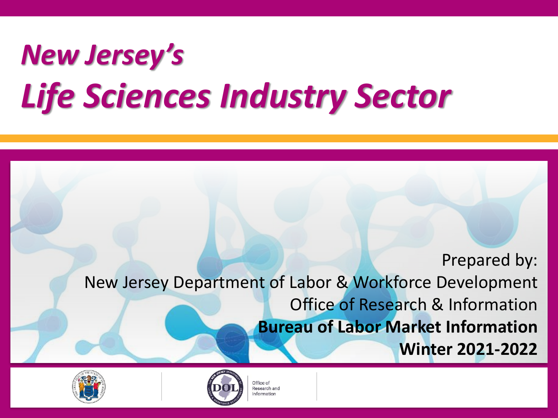# *New Jersey's Life Sciences Industry Sector*

Prepared by: New Jersey Department of Labor & Workforce Development Office of Research & Information **Bureau of Labor Market Information Winter 2021-2022**





Office of Research and nformation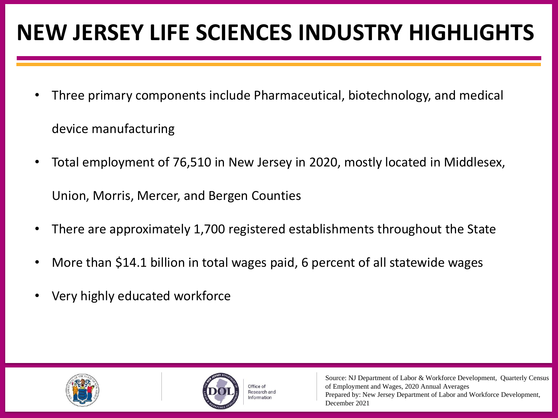# **NEW JERSEY LIFE SCIENCES INDUSTRY HIGHLIGHTS**

- Three primary components include Pharmaceutical, biotechnology, and medical device manufacturing
- Total employment of 76,510 in New Jersey in 2020, mostly located in Middlesex, Union, Morris, Mercer, and Bergen Counties
- There are approximately 1,700 registered establishments throughout the State
- More than \$14.1 billion in total wages paid, 6 percent of all statewide wages
- Very highly educated workforce





Office of besearch and nformation

Source: NJ Department of Labor & Workforce Development, Quarterly Census of Employment and Wages, 2020 Annual Averages Prepared by: New Jersey Department of Labor and Workforce Development, December 2021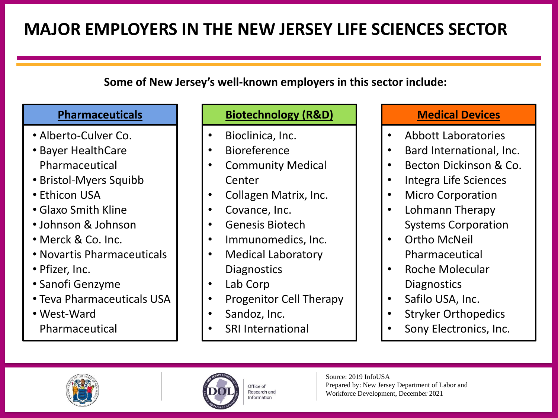# **MAJOR EMPLOYERS IN THE NEW JERSEY LIFE SCIENCES SECTOR**

#### **Some of New Jersey's well-known employers in this sector include:**

- Alberto-Culver Co.
- Bayer HealthCare Pharmaceutical
- Bristol-Myers Squibb
- Ethicon USA
- Glaxo Smith Kline
- Johnson & Johnson
- Merck & Co. Inc.
- Novartis Pharmaceuticals
- Pfizer, Inc.
- Sanofi Genzyme
- Teva Pharmaceuticals USA
- West-Ward Pharmaceutical

#### **Pharmaceuticals Biotechnology (R&D) Medical Devices**

- Bioclinica, Inc.
- **Bioreference**
- Community Medical Center
- Collagen Matrix, Inc.
- Covance, Inc.
- Genesis Biotech
- Immunomedics, Inc.
- Medical Laboratory **Diagnostics**
- Lab Corp
- Progenitor Cell Therapy
- Sandoz, Inc.
- **SRI International**

- Abbott Laboratories
- Bard International, Inc.
- Becton Dickinson & Co.
- Integra Life Sciences
- **Micro Corporation**
- Lohmann Therapy Systems Corporation
- Ortho McNeil Pharmaceutical
- Roche Molecular **Diagnostics**
- Safilo USA, Inc.
- Stryker Orthopedics
- Sony Electronics, Inc.



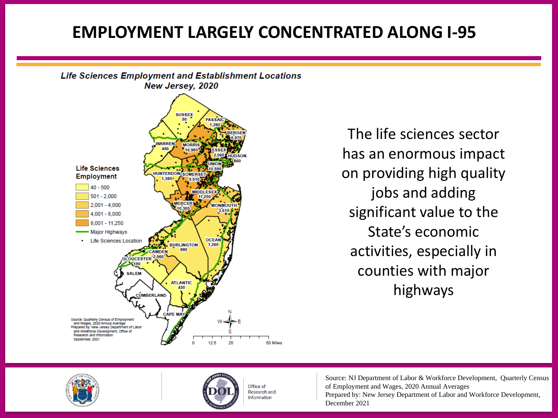#### **EMPLOYMENT LARGELY CONCENTRATED ALONG I-95**



The life sciences sector has an enormous impact on providing high quality jobs and adding significant value to the State's economic activities, especially in counties with major highways





Office of Research and nformation

Source: NJ Department of Labor & Workforce Development, Quarterly Census of Employment and Wages, 2020 Annual Averages Prepared by: New Jersey Department of Labor and Workforce Development, December 2021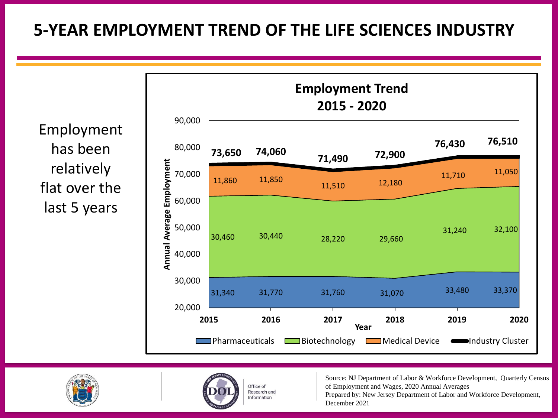### **5-YEAR EMPLOYMENT TREND OF THE LIFE SCIENCES INDUSTRY**







Office of Research and nformation

Source: NJ Department of Labor & Workforce Development, Quarterly Census of Employment and Wages, 2020 Annual Averages

Prepared by: New Jersey Department of Labor and Workforce Development, December 2021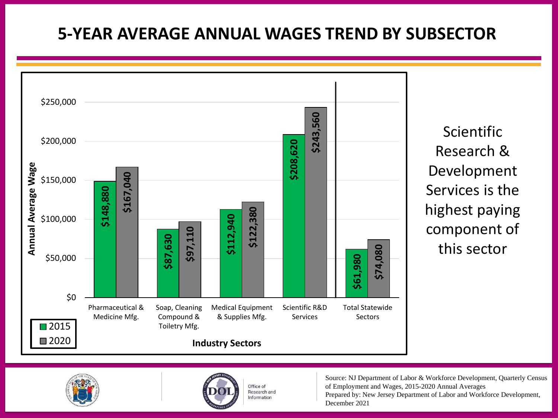### **5-YEAR AVERAGE ANNUAL WAGES TREND BY SUBSECTOR**



Scientific Research & Development Services is the highest paying component of this sector





Office of Research and nformation

Source: NJ Department of Labor & Workforce Development, Quarterly Census of Employment and Wages, 2015-2020 Annual Averages Prepared by: New Jersey Department of Labor and Workforce Development, December 2021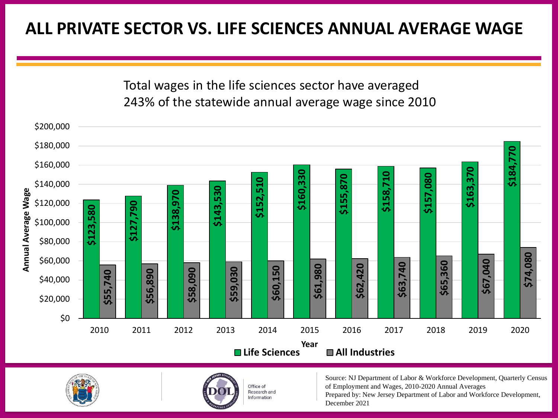#### **ALL PRIVATE SECTOR VS. LIFE SCIENCES ANNUAL AVERAGE WAGE**

Total wages in the life sciences sector have averaged 243% of the statewide annual average wage since 2010







Office of Research and nformation

Source: NJ Department of Labor & Workforce Development, Quarterly Census of Employment and Wages, 2010-2020 Annual Averages

Prepared by: New Jersey Department of Labor and Workforce Development, December 2021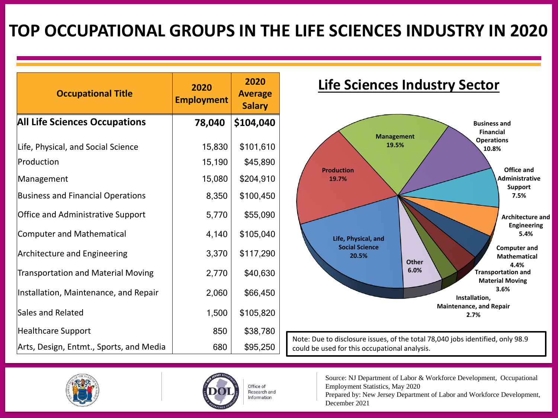### **TOP OCCUPATIONAL GROUPS IN THE LIFE SCIENCES INDUSTRY IN 2020**

| <b>Occupational Title</b>                 | 2020<br><b>Employment</b> | 2020<br><b>Average</b><br><b>Salary</b> |
|-------------------------------------------|---------------------------|-----------------------------------------|
| <b>All Life Sciences Occupations</b>      | 78,040                    | \$104,040                               |
| Life, Physical, and Social Science        | 15,830                    | \$101,610                               |
| Production                                | 15,190                    | \$45,890                                |
| Management                                | 15,080                    | \$204,910                               |
| <b>Business and Financial Operations</b>  | 8,350                     | \$100,450                               |
| <b>Office and Administrative Support</b>  | 5,770                     | \$55,090                                |
| <b>Computer and Mathematical</b>          | 4,140                     | \$105,040                               |
| Architecture and Engineering              | 3,370                     | \$117,290                               |
| <b>Transportation and Material Moving</b> | 2,770                     | \$40,630                                |
| Installation, Maintenance, and Repair     | 2,060                     | \$66,450                                |
| Sales and Related                         | 1,500                     | \$105,820                               |
| <b>Healthcare Support</b>                 | 850                       | \$38,780                                |
| Arts, Design, Entmt., Sports, and Media   | 680                       | \$95,250                                |

#### **Life Sciences Industry Sector**



Note: Due to disclosure issues, of the total 78,040 jobs identified, only 98.9 could be used for this occupational analysis.





Office of Research and Information

Source: NJ Department of Labor & Workforce Development, Occupational Employment Statistics, May 2020

Prepared by: New Jersey Department of Labor and Workforce Development, December 2021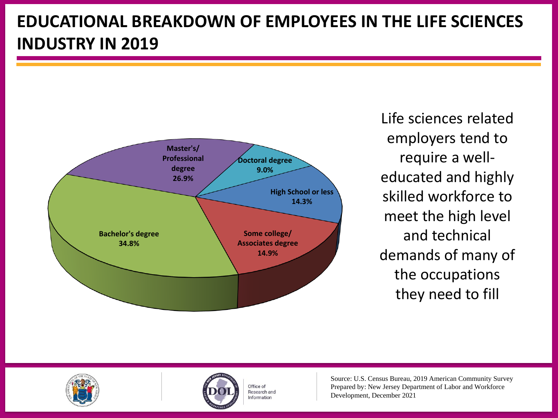# **EDUCATIONAL BREAKDOWN OF EMPLOYEES IN THE LIFE SCIENCES INDUSTRY IN 2019**



Life sciences related employers tend to require a welleducated and highly skilled workforce to meet the high level and technical demands of many of the occupations they need to fill





Office of Research and nformation

Source: U.S. Census Bureau, 2019 American Community Survey Prepared by: New Jersey Department of Labor and Workforce Development, December 2021